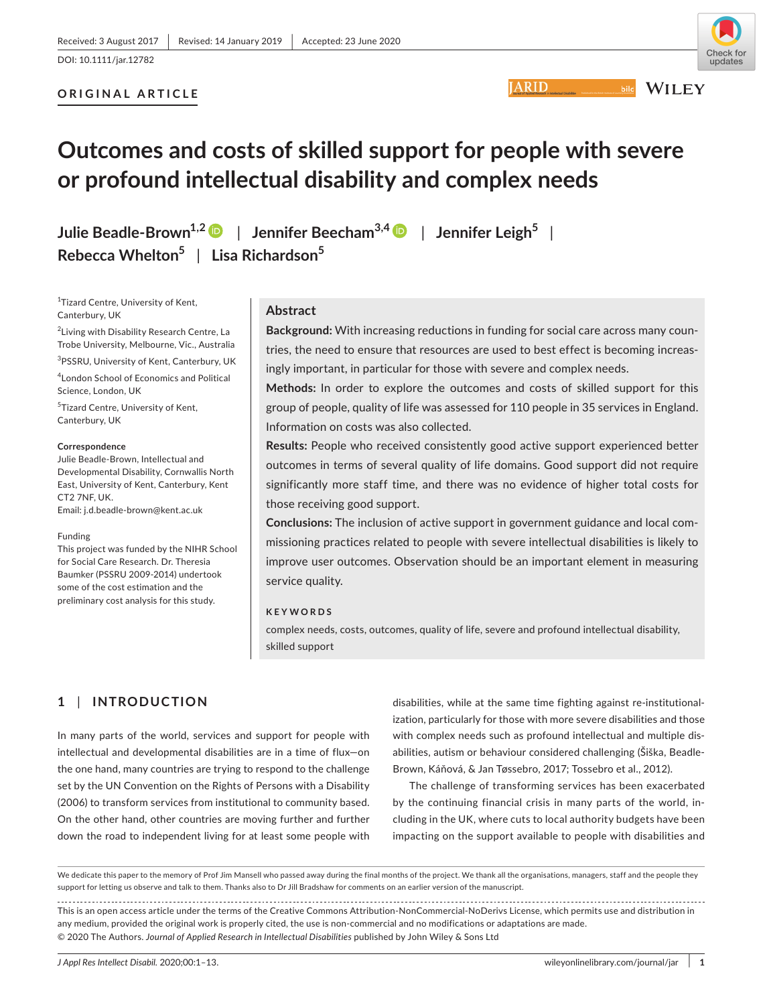**ORIGINAL ARTICLE**

**JARID** 



**WILEY** 

# **Outcomes and costs of skilled support for people with severe or profound intellectual disability and complex needs**

**Julie Beadle-Brown1,[2](https://orcid.org/0000-0003-2306-8801)** | **Jennifer Beecham3,4** | **Jennifer Leigh<sup>5</sup>** | **Rebecca Whelton<sup>5</sup>** | **Lisa Richardson<sup>5</sup>**

<sup>1</sup>Tizard Centre, University of Kent, Canterbury, UK

2 Living with Disability Research Centre, La Trobe University, Melbourne, Vic., Australia 3 PSSRU, University of Kent, Canterbury, UK 4 London School of Economics and Political Science, London, UK

<sup>5</sup>Tizard Centre, University of Kent, Canterbury, UK

#### **Correspondence**

Julie Beadle-Brown, Intellectual and Developmental Disability, Cornwallis North East, University of Kent, Canterbury, Kent CT2 7NF, UK. Email: [j.d.beadle-brown@kent.ac.uk](mailto:j.d.beadle-brown@kent.ac.uk)

#### Funding

This project was funded by the NIHR School for Social Care Research. Dr. Theresia Baumker (PSSRU 2009-2014) undertook some of the cost estimation and the preliminary cost analysis for this study.

#### **Abstract**

**Background:** With increasing reductions in funding for social care across many countries, the need to ensure that resources are used to best effect is becoming increasingly important, in particular for those with severe and complex needs.

**Methods:** In order to explore the outcomes and costs of skilled support for this group of people, quality of life was assessed for 110 people in 35 services in England. Information on costs was also collected.

**Results:** People who received consistently good active support experienced better outcomes in terms of several quality of life domains. Good support did not require significantly more staff time, and there was no evidence of higher total costs for those receiving good support.

**Conclusions:** The inclusion of active support in government guidance and local commissioning practices related to people with severe intellectual disabilities is likely to improve user outcomes. Observation should be an important element in measuring service quality.

#### **KEYWORDS**

complex needs, costs, outcomes, quality of life, severe and profound intellectual disability, skilled support

# **1** | **INTRODUCTION**

In many parts of the world, services and support for people with intellectual and developmental disabilities are in a time of flux—on the one hand, many countries are trying to respond to the challenge set by the UN Convention on the Rights of Persons with a Disability (2006) to transform services from institutional to community based. On the other hand, other countries are moving further and further down the road to independent living for at least some people with

disabilities, while at the same time fighting against re-institutionalization, particularly for those with more severe disabilities and those with complex needs such as profound intellectual and multiple disabilities, autism or behaviour considered challenging (Šiška, Beadle-Brown, Káňová, & Jan Tøssebro, 2017; Tossebro et al., 2012).

The challenge of transforming services has been exacerbated by the continuing financial crisis in many parts of the world, including in the UK, where cuts to local authority budgets have been impacting on the support available to people with disabilities and

This is an open access article under the terms of the [Creative Commons Attribution-NonCommercial-NoDerivs](http://creativecommons.org/licenses/by-nc-nd/4.0/) License, which permits use and distribution in any medium, provided the original work is properly cited, the use is non-commercial and no modifications or adaptations are made. © 2020 The Authors. *Journal of Applied Research in Intellectual Disabilities* published by John Wiley & Sons Ltd

We dedicate this paper to the memory of Prof Jim Mansell who passed away during the final months of the project. We thank all the organisations, managers, staff and the people they support for letting us observe and talk to them. Thanks also to Dr Jill Bradshaw for comments on an earlier version of the manuscript.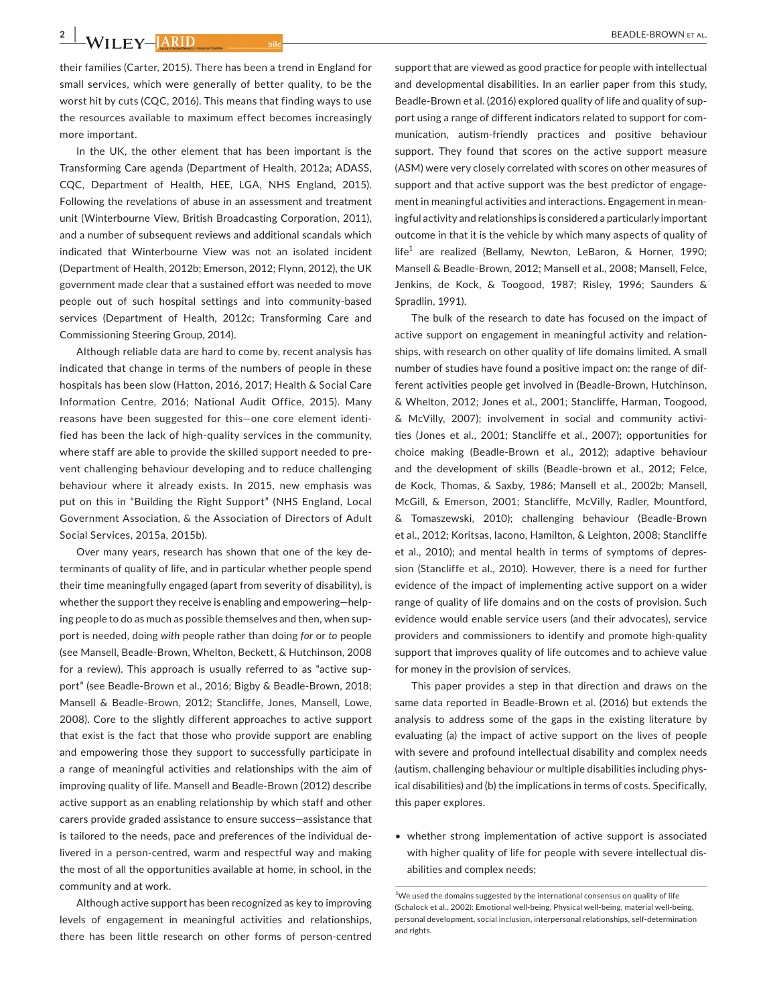**2** | **WILEY-** *ARID* 

their families (Carter, 2015). There has been a trend in England for small services, which were generally of better quality, to be the worst hit by cuts (CQC, 2016). This means that finding ways to use the resources available to maximum effect becomes increasingly more important.

In the UK, the other element that has been important is the Transforming Care agenda (Department of Health, 2012a; ADASS, CQC, Department of Health, HEE, LGA, NHS England, 2015). Following the revelations of abuse in an assessment and treatment unit (Winterbourne View, British Broadcasting Corporation, 2011), and a number of subsequent reviews and additional scandals which indicated that Winterbourne View was not an isolated incident (Department of Health, 2012b; Emerson, 2012; Flynn, 2012), the UK government made clear that a sustained effort was needed to move people out of such hospital settings and into community-based services (Department of Health, 2012c; Transforming Care and Commissioning Steering Group, 2014).

Although reliable data are hard to come by, recent analysis has indicated that change in terms of the numbers of people in these hospitals has been slow (Hatton, 2016, 2017; Health & Social Care Information Centre, 2016; National Audit Office, 2015). Many reasons have been suggested for this—one core element identified has been the lack of high-quality services in the community, where staff are able to provide the skilled support needed to prevent challenging behaviour developing and to reduce challenging behaviour where it already exists. In 2015, new emphasis was put on this in "Building the Right Support" (NHS England, Local Government Association, & the Association of Directors of Adult Social Services, 2015a, 2015b).

Over many years, research has shown that one of the key determinants of quality of life, and in particular whether people spend their time meaningfully engaged (apart from severity of disability), is whether the support they receive is enabling and empowering—helping people to do as much as possible themselves and then, when support is needed, doing *with* people rather than doing *for* or *to* people (see Mansell, Beadle-Brown, Whelton, Beckett, & Hutchinson, 2008 for a review). This approach is usually referred to as "active support" (see Beadle-Brown et al., 2016; Bigby & Beadle-Brown, 2018; Mansell & Beadle-Brown, 2012; Stancliffe, Jones, Mansell, Lowe, 2008). Core to the slightly different approaches to active support that exist is the fact that those who provide support are enabling and empowering those they support to successfully participate in a range of meaningful activities and relationships with the aim of improving quality of life. Mansell and Beadle-Brown (2012) describe active support as an enabling relationship by which staff and other carers provide graded assistance to ensure success—assistance that is tailored to the needs, pace and preferences of the individual delivered in a person-centred, warm and respectful way and making the most of all the opportunities available at home, in school, in the community and at work.

Although active support has been recognized as key to improving levels of engagement in meaningful activities and relationships, there has been little research on other forms of person-centred

support that are viewed as good practice for people with intellectual and developmental disabilities. In an earlier paper from this study, Beadle-Brown et al. (2016) explored quality of life and quality of support using a range of different indicators related to support for communication, autism-friendly practices and positive behaviour support. They found that scores on the active support measure (ASM) were very closely correlated with scores on other measures of support and that active support was the best predictor of engagement in meaningful activities and interactions. Engagement in meaningful activity and relationships is considered a particularly important outcome in that it is the vehicle by which many aspects of quality of life<sup>1</sup> are realized (Bellamy, Newton, LeBaron, & Horner, 1990; Mansell & Beadle-Brown, 2012; Mansell et al., 2008; Mansell, Felce, Jenkins, de Kock, & Toogood, 1987; Risley, 1996; Saunders & Spradlin, 1991).

The bulk of the research to date has focused on the impact of active support on engagement in meaningful activity and relationships, with research on other quality of life domains limited. A small number of studies have found a positive impact on: the range of different activities people get involved in (Beadle-Brown, Hutchinson, & Whelton, 2012; Jones et al., 2001; Stancliffe, Harman, Toogood, & McVilly, 2007); involvement in social and community activities (Jones et al., 2001; Stancliffe et al., 2007); opportunities for choice making (Beadle-Brown et al., 2012); adaptive behaviour and the development of skills (Beadle-brown et al., 2012; Felce, de Kock, Thomas, & Saxby, 1986; Mansell et al., 2002b; Mansell, McGill, & Emerson, 2001; Stancliffe, McVilly, Radler, Mountford, & Tomaszewski, 2010); challenging behaviour (Beadle-Brown et al., 2012; Koritsas, Iacono, Hamilton, & Leighton, 2008; Stancliffe et al., 2010); and mental health in terms of symptoms of depression (Stancliffe et al., 2010). However, there is a need for further evidence of the impact of implementing active support on a wider range of quality of life domains and on the costs of provision. Such evidence would enable service users (and their advocates), service providers and commissioners to identify and promote high-quality support that improves quality of life outcomes and to achieve value for money in the provision of services.

This paper provides a step in that direction and draws on the same data reported in Beadle-Brown et al. (2016) but extends the analysis to address some of the gaps in the existing literature by evaluating (a) the impact of active support on the lives of people with severe and profound intellectual disability and complex needs (autism, challenging behaviour or multiple disabilities including physical disabilities) and (b) the implications in terms of costs. Specifically, this paper explores.

• whether strong implementation of active support is associated with higher quality of life for people with severe intellectual disabilities and complex needs;

<sup>&</sup>lt;sup>1</sup>We used the domains suggested by the international consensus on quality of life (Schalock et al., 2002): Emotional well-being, Physical well-being, material well-being, personal development, social inclusion, interpersonal relationships, self-determination and rights.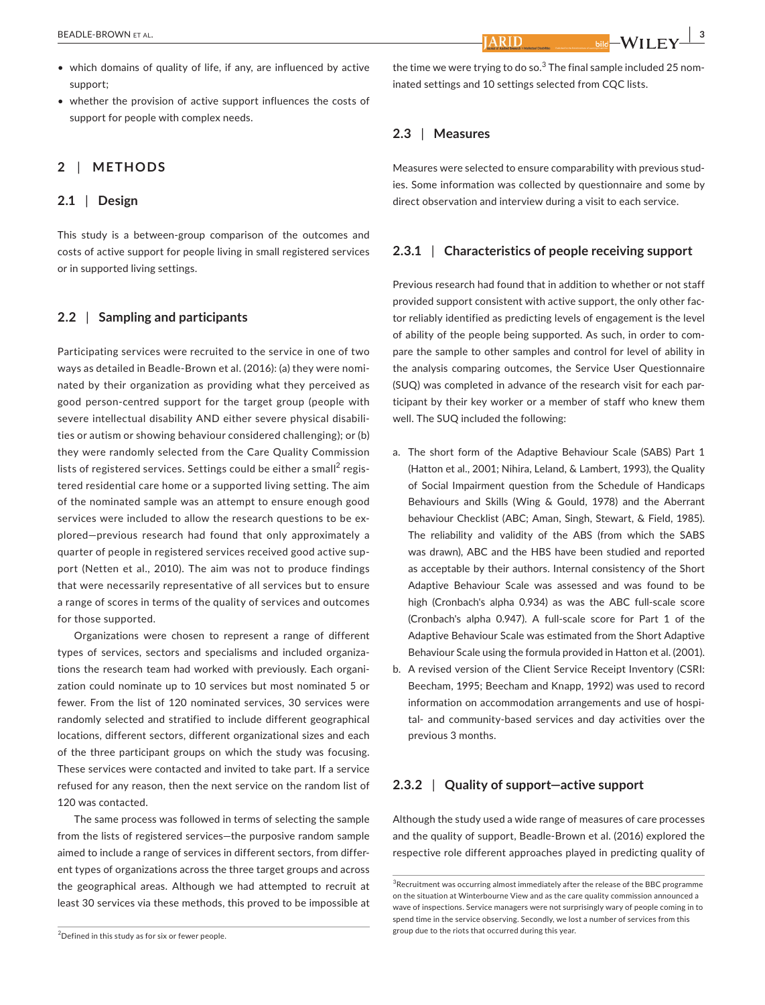• whether the provision of active support influences the costs of support for people with complex needs.

# **2** | **METHODS**

## **2.1** | **Design**

This study is a between-group comparison of the outcomes and costs of active support for people living in small registered services or in supported living settings.

#### **2.2** | **Sampling and participants**

Participating services were recruited to the service in one of two ways as detailed in Beadle-Brown et al. (2016): (a) they were nominated by their organization as providing what they perceived as good person-centred support for the target group (people with severe intellectual disability AND either severe physical disabilities or autism or showing behaviour considered challenging); or (b) they were randomly selected from the Care Quality Commission lists of registered services. Settings could be either a small $^2$  registered residential care home or a supported living setting. The aim of the nominated sample was an attempt to ensure enough good services were included to allow the research questions to be explored—previous research had found that only approximately a quarter of people in registered services received good active support (Netten et al., 2010). The aim was not to produce findings that were necessarily representative of all services but to ensure a range of scores in terms of the quality of services and outcomes for those supported.

Organizations were chosen to represent a range of different types of services, sectors and specialisms and included organizations the research team had worked with previously. Each organization could nominate up to 10 services but most nominated 5 or fewer. From the list of 120 nominated services, 30 services were randomly selected and stratified to include different geographical locations, different sectors, different organizational sizes and each of the three participant groups on which the study was focusing. These services were contacted and invited to take part. If a service refused for any reason, then the next service on the random list of 120 was contacted.

The same process was followed in terms of selecting the sample from the lists of registered services—the purposive random sample aimed to include a range of services in different sectors, from different types of organizations across the three target groups and across the geographical areas. Although we had attempted to recruit at least 30 services via these methods, this proved to be impossible at

the time we were trying to do so. $^3$  The final sample included 25 nominated settings and 10 settings selected from CQC lists.

**ARIT** 

# **2.3** | **Measures**

Measures were selected to ensure comparability with previous studies. Some information was collected by questionnaire and some by direct observation and interview during a visit to each service.

#### **2.3.1** | **Characteristics of people receiving support**

Previous research had found that in addition to whether or not staff provided support consistent with active support, the only other factor reliably identified as predicting levels of engagement is the level of ability of the people being supported. As such, in order to compare the sample to other samples and control for level of ability in the analysis comparing outcomes, the Service User Questionnaire (SUQ) was completed in advance of the research visit for each participant by their key worker or a member of staff who knew them well. The SUQ included the following:

- a. The short form of the Adaptive Behaviour Scale (SABS) Part 1 (Hatton et al., 2001; Nihira, Leland, & Lambert, 1993), the Quality of Social Impairment question from the Schedule of Handicaps Behaviours and Skills (Wing & Gould, 1978) and the Aberrant behaviour Checklist (ABC; Aman, Singh, Stewart, & Field, 1985). The reliability and validity of the ABS (from which the SABS was drawn), ABC and the HBS have been studied and reported as acceptable by their authors. Internal consistency of the Short Adaptive Behaviour Scale was assessed and was found to be high (Cronbach's alpha 0.934) as was the ABC full-scale score (Cronbach's alpha 0.947). A full-scale score for Part 1 of the Adaptive Behaviour Scale was estimated from the Short Adaptive Behaviour Scale using the formula provided in Hatton et al. (2001).
- b. A revised version of the Client Service Receipt Inventory (CSRI: Beecham, 1995; Beecham and Knapp, 1992) was used to record information on accommodation arrangements and use of hospital- and community-based services and day activities over the previous 3 months.

# **2.3.2** | **Quality of support—active support**

Although the study used a wide range of measures of care processes and the quality of support, Beadle-Brown et al. (2016) explored the respective role different approaches played in predicting quality of

 ${}^{2}$ Defined in this study as for six or fewer people.

<sup>&</sup>lt;sup>3</sup>Recruitment was occurring almost immediately after the release of the BBC programme on the situation at Winterbourne View and as the care quality commission announced a wave of inspections. Service managers were not surprisingly wary of people coming in to spend time in the service observing. Secondly, we lost a number of services from this group due to the riots that occurred during this year.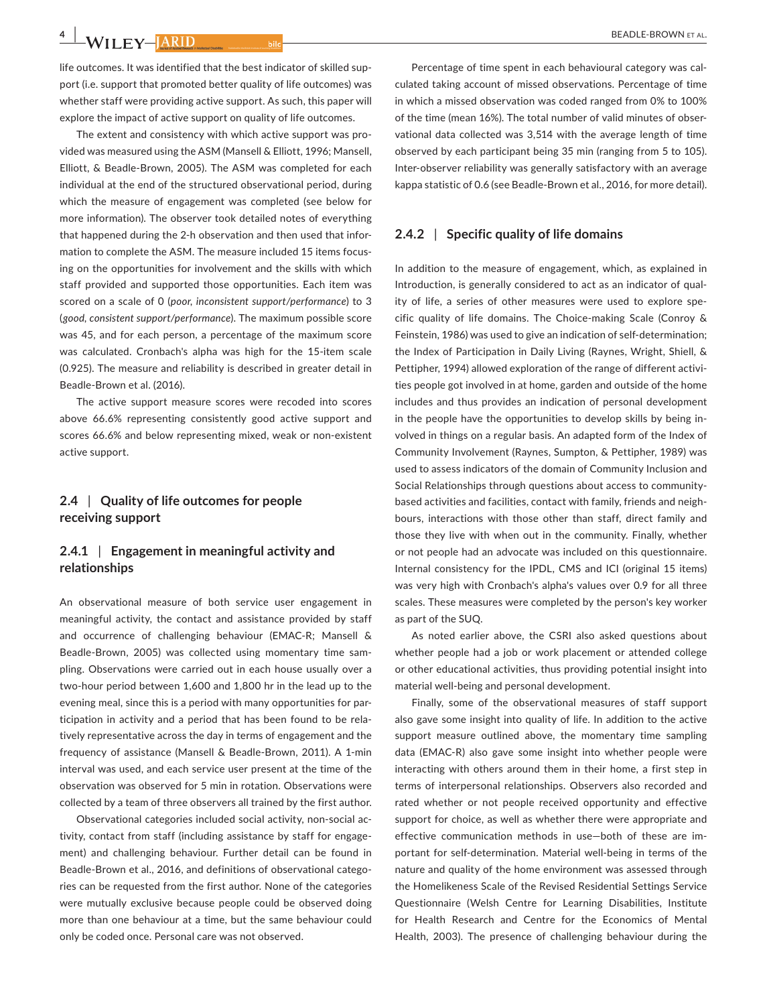# **4 |**

life outcomes. It was identified that the best indicator of skilled support (i.e. support that promoted better quality of life outcomes) was whether staff were providing active support. As such, this paper will explore the impact of active support on quality of life outcomes.

The extent and consistency with which active support was provided was measured using the ASM (Mansell & Elliott, 1996; Mansell, Elliott, & Beadle-Brown, 2005). The ASM was completed for each individual at the end of the structured observational period, during which the measure of engagement was completed (see below for more information). The observer took detailed notes of everything that happened during the 2-h observation and then used that information to complete the ASM. The measure included 15 items focusing on the opportunities for involvement and the skills with which staff provided and supported those opportunities. Each item was scored on a scale of 0 (*poor, inconsistent support/performance*) to 3 (*good, consistent support/performance*). The maximum possible score was 45, and for each person, a percentage of the maximum score was calculated. Cronbach's alpha was high for the 15-item scale (0.925). The measure and reliability is described in greater detail in Beadle-Brown et al. (2016).

The active support measure scores were recoded into scores above 66.6% representing consistently good active support and scores 66.6% and below representing mixed, weak or non-existent active support.

# **2.4** | **Quality of life outcomes for people receiving support**

# **2.4.1** | **Engagement in meaningful activity and relationships**

An observational measure of both service user engagement in meaningful activity, the contact and assistance provided by staff and occurrence of challenging behaviour (EMAC-R; Mansell & Beadle-Brown, 2005) was collected using momentary time sampling. Observations were carried out in each house usually over a two-hour period between 1,600 and 1,800 hr in the lead up to the evening meal, since this is a period with many opportunities for participation in activity and a period that has been found to be relatively representative across the day in terms of engagement and the frequency of assistance (Mansell & Beadle-Brown, 2011). A 1-min interval was used, and each service user present at the time of the observation was observed for 5 min in rotation. Observations were collected by a team of three observers all trained by the first author.

Observational categories included social activity, non-social activity, contact from staff (including assistance by staff for engagement) and challenging behaviour. Further detail can be found in Beadle-Brown et al., 2016, and definitions of observational categories can be requested from the first author. None of the categories were mutually exclusive because people could be observed doing more than one behaviour at a time, but the same behaviour could only be coded once. Personal care was not observed.

Percentage of time spent in each behavioural category was calculated taking account of missed observations. Percentage of time in which a missed observation was coded ranged from 0% to 100% of the time (mean 16%). The total number of valid minutes of observational data collected was 3,514 with the average length of time observed by each participant being 35 min (ranging from 5 to 105). Inter-observer reliability was generally satisfactory with an average kappa statistic of 0.6 (see Beadle-Brown et al., 2016, for more detail).

#### **2.4.2** | **Specific quality of life domains**

In addition to the measure of engagement, which, as explained in Introduction, is generally considered to act as an indicator of quality of life, a series of other measures were used to explore specific quality of life domains. The Choice-making Scale (Conroy & Feinstein, 1986) was used to give an indication of self-determination; the Index of Participation in Daily Living (Raynes, Wright, Shiell, & Pettipher, 1994) allowed exploration of the range of different activities people got involved in at home, garden and outside of the home includes and thus provides an indication of personal development in the people have the opportunities to develop skills by being involved in things on a regular basis. An adapted form of the Index of Community Involvement (Raynes, Sumpton, & Pettipher, 1989) was used to assess indicators of the domain of Community Inclusion and Social Relationships through questions about access to communitybased activities and facilities, contact with family, friends and neighbours, interactions with those other than staff, direct family and those they live with when out in the community. Finally, whether or not people had an advocate was included on this questionnaire. Internal consistency for the IPDL, CMS and ICI (original 15 items) was very high with Cronbach's alpha's values over 0.9 for all three scales. These measures were completed by the person's key worker as part of the SUQ.

As noted earlier above, the CSRI also asked questions about whether people had a job or work placement or attended college or other educational activities, thus providing potential insight into material well-being and personal development.

Finally, some of the observational measures of staff support also gave some insight into quality of life. In addition to the active support measure outlined above, the momentary time sampling data (EMAC-R) also gave some insight into whether people were interacting with others around them in their home, a first step in terms of interpersonal relationships. Observers also recorded and rated whether or not people received opportunity and effective support for choice, as well as whether there were appropriate and effective communication methods in use—both of these are important for self-determination. Material well-being in terms of the nature and quality of the home environment was assessed through the Homelikeness Scale of the Revised Residential Settings Service Questionnaire (Welsh Centre for Learning Disabilities, Institute for Health Research and Centre for the Economics of Mental Health, 2003). The presence of challenging behaviour during the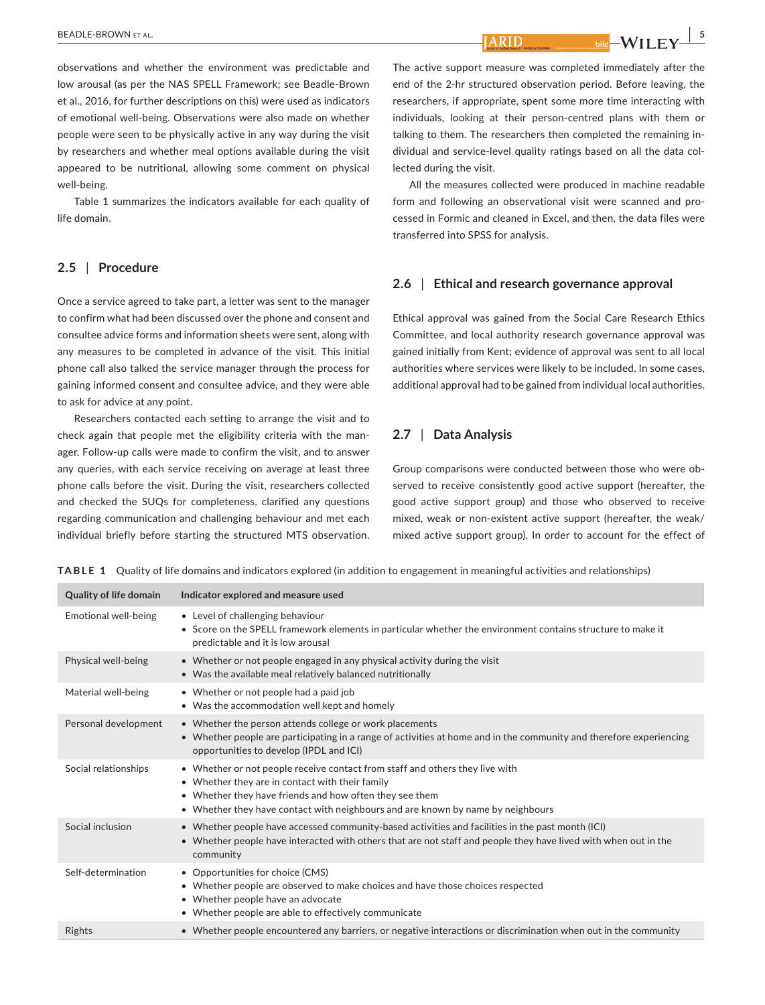observations and whether the environment was predictable and low arousal (as per the NAS SPELL Framework; see Beadle-Brown et al., 2016, for further descriptions on this) were used as indicators of emotional well-being. Observations were also made on whether people were seen to be physically active in any way during the visit by researchers and whether meal options available during the visit appeared to be nutritional, allowing some comment on physical well-being.

Table 1 summarizes the indicators available for each quality of life domain.

# **2.5** | **Procedure**

Once a service agreed to take part, a letter was sent to the manager to confirm what had been discussed over the phone and consent and consultee advice forms and information sheets were sent, along with any measures to be completed in advance of the visit. This initial phone call also talked the service manager through the process for gaining informed consent and consultee advice, and they were able to ask for advice at any point.

Researchers contacted each setting to arrange the visit and to check again that people met the eligibility criteria with the manager. Follow-up calls were made to confirm the visit, and to answer any queries, with each service receiving on average at least three phone calls before the visit. During the visit, researchers collected and checked the SUQs for completeness, clarified any questions regarding communication and challenging behaviour and met each individual briefly before starting the structured MTS observation.

The active support measure was completed immediately after the end of the 2-hr structured observation period. Before leaving, the researchers, if appropriate, spent some more time interacting with individuals, looking at their person-centred plans with them or talking to them. The researchers then completed the remaining individual and service-level quality ratings based on all the data collected during the visit.

All the measures collected were produced in machine readable form and following an observational visit were scanned and processed in Formic and cleaned in Excel, and then, the data files were transferred into SPSS for analysis.

# **2.6** | **Ethical and research governance approval**

Ethical approval was gained from the Social Care Research Ethics Committee, and local authority research governance approval was gained initially from Kent; evidence of approval was sent to all local authorities where services were likely to be included. In some cases, additional approval had to be gained from individual local authorities.

## **2.7** | **Data Analysis**

Group comparisons were conducted between those who were observed to receive consistently good active support (hereafter, the good active support group) and those who observed to receive mixed, weak or non-existent active support (hereafter, the weak/ mixed active support group). In order to account for the effect of

**TABLE 1**  Quality of life domains and indicators explored (in addition to engagement in meaningful activities and relationships)

| Quality of life domain | Indicator explored and measure used                                                                                                                                                                                                                                           |
|------------------------|-------------------------------------------------------------------------------------------------------------------------------------------------------------------------------------------------------------------------------------------------------------------------------|
| Emotional well-being   | • Level of challenging behaviour<br>• Score on the SPELL framework elements in particular whether the environment contains structure to make it<br>predictable and it is low arousal                                                                                          |
| Physical well-being    | • Whether or not people engaged in any physical activity during the visit<br>• Was the available meal relatively balanced nutritionally                                                                                                                                       |
| Material well-being    | • Whether or not people had a paid job<br>• Was the accommodation well kept and homely                                                                                                                                                                                        |
| Personal development   | • Whether the person attends college or work placements<br>• Whether people are participating in a range of activities at home and in the community and therefore experiencing<br>opportunities to develop (IPDL and ICI)                                                     |
| Social relationships   | • Whether or not people receive contact from staff and others they live with<br>• Whether they are in contact with their family<br>• Whether they have friends and how often they see them<br>• Whether they have contact with neighbours and are known by name by neighbours |
| Social inclusion       | • Whether people have accessed community-based activities and facilities in the past month (ICI)<br>• Whether people have interacted with others that are not staff and people they have lived with when out in the<br>community                                              |
| Self-determination     | • Opportunities for choice (CMS)<br>• Whether people are observed to make choices and have those choices respected<br>• Whether people have an advocate<br>• Whether people are able to effectively communicate                                                               |
| Rights                 | • Whether people encountered any barriers, or negative interactions or discrimination when out in the community                                                                                                                                                               |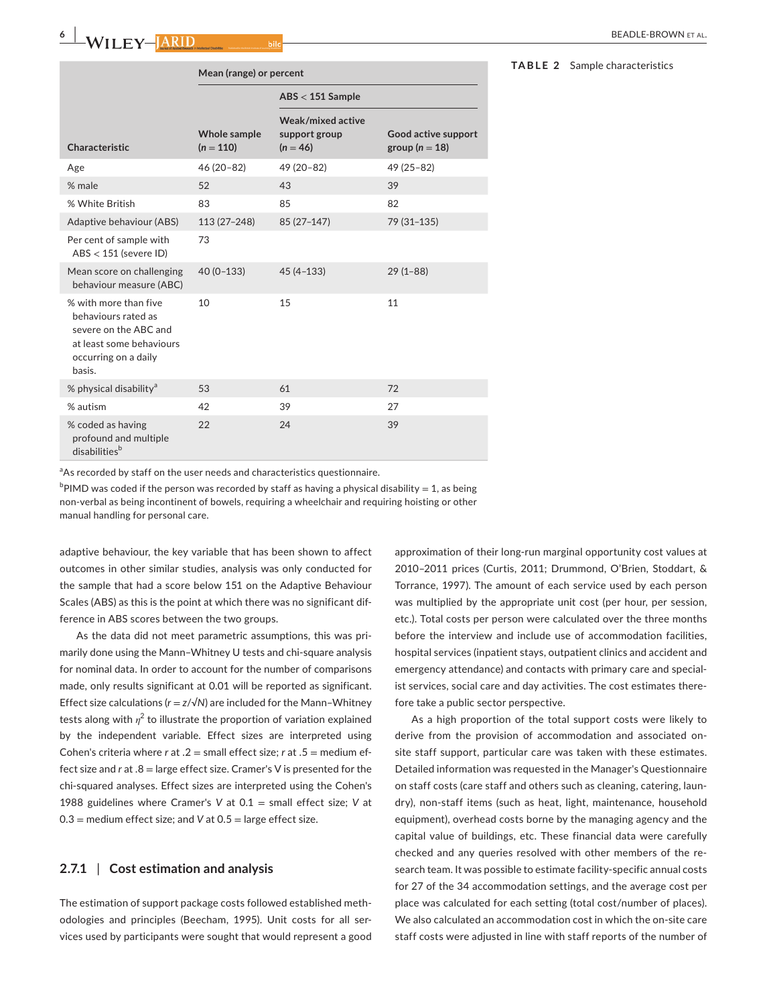| <b>BEADLE-BROWN FT AL</b> |  |
|---------------------------|--|
|                           |  |

**TABLE 2** Sample characteristics

|                                                                                                                                        | Mean (range) or percent            |                                                  |                                           |  |
|----------------------------------------------------------------------------------------------------------------------------------------|------------------------------------|--------------------------------------------------|-------------------------------------------|--|
|                                                                                                                                        |                                    | $\text{ABS} < 151$ Sample                        |                                           |  |
| Characteristic                                                                                                                         | <b>Whole sample</b><br>$(n = 110)$ | Weak/mixed active<br>support group<br>$(n = 46)$ | Good active support<br>group ( $n = 18$ ) |  |
| Age                                                                                                                                    | $46(20-82)$                        | 49 (20-82)                                       | 49 (25-82)                                |  |
| % male                                                                                                                                 | 52                                 | 43                                               | 39                                        |  |
| % White British                                                                                                                        | 83                                 | 85                                               | 82                                        |  |
| Adaptive behaviour (ABS)                                                                                                               | 113 (27-248)                       | 85 (27-147)                                      | 79 (31-135)                               |  |
| Per cent of sample with<br>$ABS < 151$ (severe ID)                                                                                     | 73                                 |                                                  |                                           |  |
| Mean score on challenging<br>behaviour measure (ABC)                                                                                   | $40(0-133)$                        | $45(4 - 133)$                                    | $29(1 - 88)$                              |  |
| $\%$ with more than five<br>behaviours rated as<br>severe on the ABC and<br>at least some behaviours<br>occurring on a daily<br>basis. | 10                                 | 15                                               | 11                                        |  |
| % physical disability <sup>a</sup>                                                                                                     | 53                                 | 61                                               | 72                                        |  |
| % autism                                                                                                                               | 42                                 | 39                                               | 27                                        |  |
| % coded as having<br>profound and multiple<br>disabilities <sup>b</sup>                                                                | 22                                 | 24                                               | 39                                        |  |

<sup>a</sup>As recorded by staff on the user needs and characteristics questionnaire.

 $^{\rm b}$ PIMD was coded if the person was recorded by staff as having a physical disability  $=1$ , as being non-verbal as being incontinent of bowels, requiring a wheelchair and requiring hoisting or other manual handling for personal care.

adaptive behaviour, the key variable that has been shown to affect outcomes in other similar studies, analysis was only conducted for the sample that had a score below 151 on the Adaptive Behaviour Scales (ABS) as this is the point at which there was no significant difference in ABS scores between the two groups.

As the data did not meet parametric assumptions, this was primarily done using the Mann–Whitney U tests and chi-square analysis for nominal data. In order to account for the number of comparisons made, only results significant at 0.01 will be reported as significant. Effect size calculations ( $r = z/\sqrt{N}$ ) are included for the Mann-Whitney tests along with  $\eta^2$  to illustrate the proportion of variation explained by the independent variable. Effect sizes are interpreted using Cohen's criteria where *r* at .2 = small effect size; *r* at .5 = medium effect size and *r* at .8 = large effect size. Cramer's V is presented for the chi-squared analyses. Effect sizes are interpreted using the Cohen's 1988 guidelines where Cramer's *V* at 0.1 = small effect size; *V* at 0.3 = medium effect size; and *V* at 0.5 = large effect size.

# **2.7.1** | **Cost estimation and analysis**

The estimation of support package costs followed established methodologies and principles (Beecham, 1995). Unit costs for all services used by participants were sought that would represent a good

approximation of their long-run marginal opportunity cost values at 2010–2011 prices (Curtis, 2011; Drummond, O'Brien, Stoddart, & Torrance, 1997). The amount of each service used by each person was multiplied by the appropriate unit cost (per hour, per session, etc.). Total costs per person were calculated over the three months before the interview and include use of accommodation facilities, hospital services (inpatient stays, outpatient clinics and accident and emergency attendance) and contacts with primary care and specialist services, social care and day activities. The cost estimates therefore take a public sector perspective.

As a high proportion of the total support costs were likely to derive from the provision of accommodation and associated onsite staff support, particular care was taken with these estimates. Detailed information was requested in the Manager's Questionnaire on staff costs (care staff and others such as cleaning, catering, laundry), non-staff items (such as heat, light, maintenance, household equipment), overhead costs borne by the managing agency and the capital value of buildings, etc. These financial data were carefully checked and any queries resolved with other members of the research team. It was possible to estimate facility-specific annual costs for 27 of the 34 accommodation settings, and the average cost per place was calculated for each setting (total cost/number of places). We also calculated an accommodation cost in which the on-site care staff costs were adjusted in line with staff reports of the number of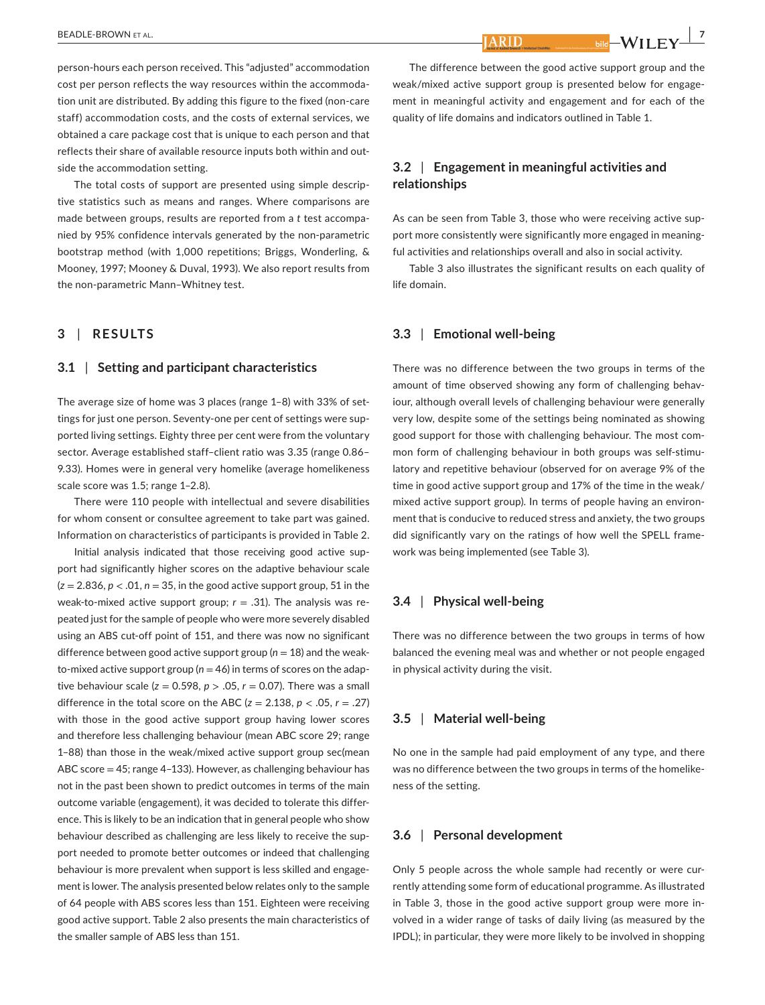person-hours each person received. This "adjusted" accommodation cost per person reflects the way resources within the accommodation unit are distributed. By adding this figure to the fixed (non-care staff) accommodation costs, and the costs of external services, we obtained a care package cost that is unique to each person and that reflects their share of available resource inputs both within and outside the accommodation setting.

The total costs of support are presented using simple descriptive statistics such as means and ranges. Where comparisons are made between groups, results are reported from a *t* test accompanied by 95% confidence intervals generated by the non-parametric bootstrap method (with 1,000 repetitions; Briggs, Wonderling, & Mooney, 1997; Mooney & Duval, 1993). We also report results from the non-parametric Mann–Whitney test.

# **3** | **RESULTS**

#### **3.1** | **Setting and participant characteristics**

The average size of home was 3 places (range 1–8) with 33% of settings for just one person. Seventy-one per cent of settings were supported living settings. Eighty three per cent were from the voluntary sector. Average established staff–client ratio was 3.35 (range 0.86– 9.33). Homes were in general very homelike (average homelikeness scale score was 1.5; range 1–2.8).

There were 110 people with intellectual and severe disabilities for whom consent or consultee agreement to take part was gained. Information on characteristics of participants is provided in Table 2.

Initial analysis indicated that those receiving good active support had significantly higher scores on the adaptive behaviour scale (*z* = 2.836, *p* < .01, *n* = 35, in the good active support group, 51 in the weak-to-mixed active support group; *r* = .31). The analysis was repeated just for the sample of people who were more severely disabled using an ABS cut-off point of 151, and there was now no significant difference between good active support group (*n* = 18) and the weakto-mixed active support group ( $n = 46$ ) in terms of scores on the adaptive behaviour scale ( $z = 0.598$ ,  $p > .05$ ,  $r = 0.07$ ). There was a small difference in the total score on the ABC  $(z = 2.138, p < .05, r = .27)$ with those in the good active support group having lower scores and therefore less challenging behaviour (mean ABC score 29; range 1–88) than those in the weak/mixed active support group sec(mean ABC score = 45; range 4–133). However, as challenging behaviour has not in the past been shown to predict outcomes in terms of the main outcome variable (engagement), it was decided to tolerate this difference. This is likely to be an indication that in general people who show behaviour described as challenging are less likely to receive the support needed to promote better outcomes or indeed that challenging behaviour is more prevalent when support is less skilled and engagement is lower. The analysis presented below relates only to the sample of 64 people with ABS scores less than 151. Eighteen were receiving good active support. Table 2 also presents the main characteristics of the smaller sample of ABS less than 151.

The difference between the good active support group and the weak/mixed active support group is presented below for engagement in meaningful activity and engagement and for each of the quality of life domains and indicators outlined in Table 1.

# **3.2** | **Engagement in meaningful activities and relationships**

As can be seen from Table 3, those who were receiving active support more consistently were significantly more engaged in meaningful activities and relationships overall and also in social activity.

Table 3 also illustrates the significant results on each quality of life domain.

#### **3.3** | **Emotional well-being**

There was no difference between the two groups in terms of the amount of time observed showing any form of challenging behaviour, although overall levels of challenging behaviour were generally very low, despite some of the settings being nominated as showing good support for those with challenging behaviour. The most common form of challenging behaviour in both groups was self-stimulatory and repetitive behaviour (observed for on average 9% of the time in good active support group and 17% of the time in the weak/ mixed active support group). In terms of people having an environment that is conducive to reduced stress and anxiety, the two groups did significantly vary on the ratings of how well the SPELL framework was being implemented (see Table 3).

#### **3.4** | **Physical well-being**

There was no difference between the two groups in terms of how balanced the evening meal was and whether or not people engaged in physical activity during the visit.

### **3.5** | **Material well-being**

No one in the sample had paid employment of any type, and there was no difference between the two groups in terms of the homelikeness of the setting.

#### **3.6** | **Personal development**

Only 5 people across the whole sample had recently or were currently attending some form of educational programme. As illustrated in Table 3, those in the good active support group were more involved in a wider range of tasks of daily living (as measured by the IPDL); in particular, they were more likely to be involved in shopping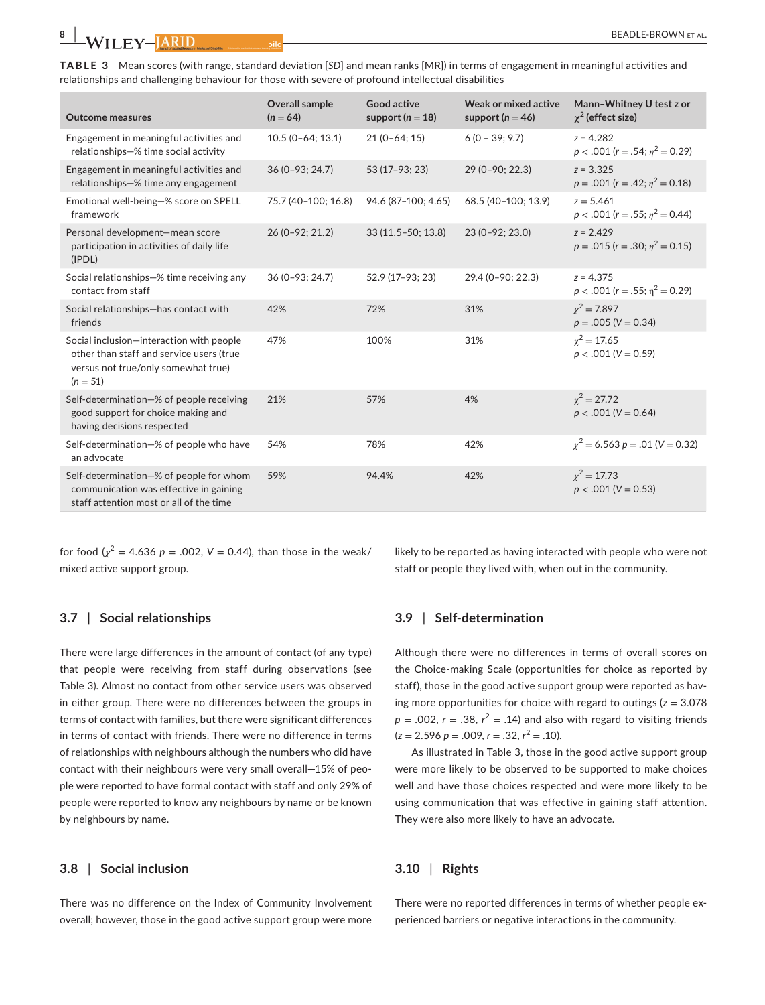**TABLE 3** Mean scores (with range, standard deviation [*SD*] and mean ranks [MR]) in terms of engagement in meaningful activities and relationships and challenging behaviour for those with severe of profound intellectual disabilities

| <b>Outcome measures</b>                                                                                                                   | <b>Overall sample</b><br>$(n = 64)$ | Good active<br>support ( $n = 18$ ) | Weak or mixed active<br>support ( $n = 46$ ) | Mann-Whitney U test z or<br>$\chi^2$ (effect size)     |
|-------------------------------------------------------------------------------------------------------------------------------------------|-------------------------------------|-------------------------------------|----------------------------------------------|--------------------------------------------------------|
| Engagement in meaningful activities and<br>relationships-% time social activity                                                           | $10.5(0-64; 13.1)$                  | $21(0-64; 15)$                      | $6(0 - 39; 9.7)$                             | $z = 4.282$<br>$p < .001$ (r = .54; $n^2 = 0.29$ )     |
| Engagement in meaningful activities and<br>relationships-% time any engagement                                                            | $36(0-93; 24.7)$                    | 53 (17-93; 23)                      | 29 (0-90; 22.3)                              | $z = 3.325$<br>$p = .001$ ( $r = .42$ ; $n^2 = 0.18$ ) |
| Emotional well-being-% score on SPELL<br>framework                                                                                        | 75.7 (40-100; 16.8)                 | 94.6 (87-100; 4.65)                 | 68.5 (40-100; 13.9)                          | $z = 5.461$<br>$p < .001$ (r = .55; $n^2 = 0.44$ )     |
| Personal development-mean score<br>participation in activities of daily life<br>(IPDL)                                                    | 26 (0-92; 21.2)                     | $33(11.5-50; 13.8)$                 | 23 (0-92; 23.0)                              | $z = 2.429$<br>$p = .015$ (r = .30; $n^2 = 0.15$ )     |
| Social relationships-% time receiving any<br>contact from staff                                                                           | 36 (0-93: 24.7)                     | 52.9 (17-93; 23)                    | 29.4 (0-90: 22.3)                            | $z = 4.375$<br>$p < .001$ (r = .55; $\eta^2 = 0.29$ )  |
| Social relationships-has contact with<br>friends                                                                                          | 42%                                 | 72%                                 | 31%                                          | $\chi^2$ = 7.897<br>$p = .005 (V = 0.34)$              |
| Social inclusion-interaction with people<br>other than staff and service users (true<br>versus not true/only somewhat true)<br>$(n = 51)$ | 47%                                 | 100%                                | 31%                                          | $\gamma^2 = 17.65$<br>$p < .001$ (V = 0.59)            |
| Self-determination-% of people receiving<br>good support for choice making and<br>having decisions respected                              | 21%                                 | 57%                                 | 4%                                           | $\chi^2 = 27.72$<br>$p < .001$ (V = 0.64)              |
| Self-determination-% of people who have<br>an advocate                                                                                    | 54%                                 | 78%                                 | 42%                                          | $y^2 = 6.563$ p = .01 (V = 0.32)                       |
| Self-determination-% of people for whom<br>communication was effective in gaining<br>staff attention most or all of the time              | 59%                                 | 94.4%                               | 42%                                          | $\chi^2 = 17.73$<br>$p < .001$ (V = 0.53)              |

for food ( $\chi^2$  = 4.636 *p* = .002, *V* = 0.44), than those in the weak/ mixed active support group.

likely to be reported as having interacted with people who were not staff or people they lived with, when out in the community.

#### **3.7** | **Social relationships**

There were large differences in the amount of contact (of any type) that people were receiving from staff during observations (see Table 3). Almost no contact from other service users was observed in either group. There were no differences between the groups in terms of contact with families, but there were significant differences in terms of contact with friends. There were no difference in terms of relationships with neighbours although the numbers who did have contact with their neighbours were very small overall—15% of people were reported to have formal contact with staff and only 29% of people were reported to know any neighbours by name or be known by neighbours by name.

### **3.8** | **Social inclusion**

There was no difference on the Index of Community Involvement overall; however, those in the good active support group were more

# **3.9** | **Self-determination**

Although there were no differences in terms of overall scores on the Choice-making Scale (opportunities for choice as reported by staff), those in the good active support group were reported as having more opportunities for choice with regard to outings (*z* = 3.078  $p = .002$ ,  $r = .38$ ,  $r^2 = .14$ ) and also with regard to visiting friends  $(z = 2.596 p = .009, r = .32, r<sup>2</sup> = .10)$ .

As illustrated in Table 3, those in the good active support group were more likely to be observed to be supported to make choices well and have those choices respected and were more likely to be using communication that was effective in gaining staff attention. They were also more likely to have an advocate.

# **3.10** | **Rights**

There were no reported differences in terms of whether people experienced barriers or negative interactions in the community.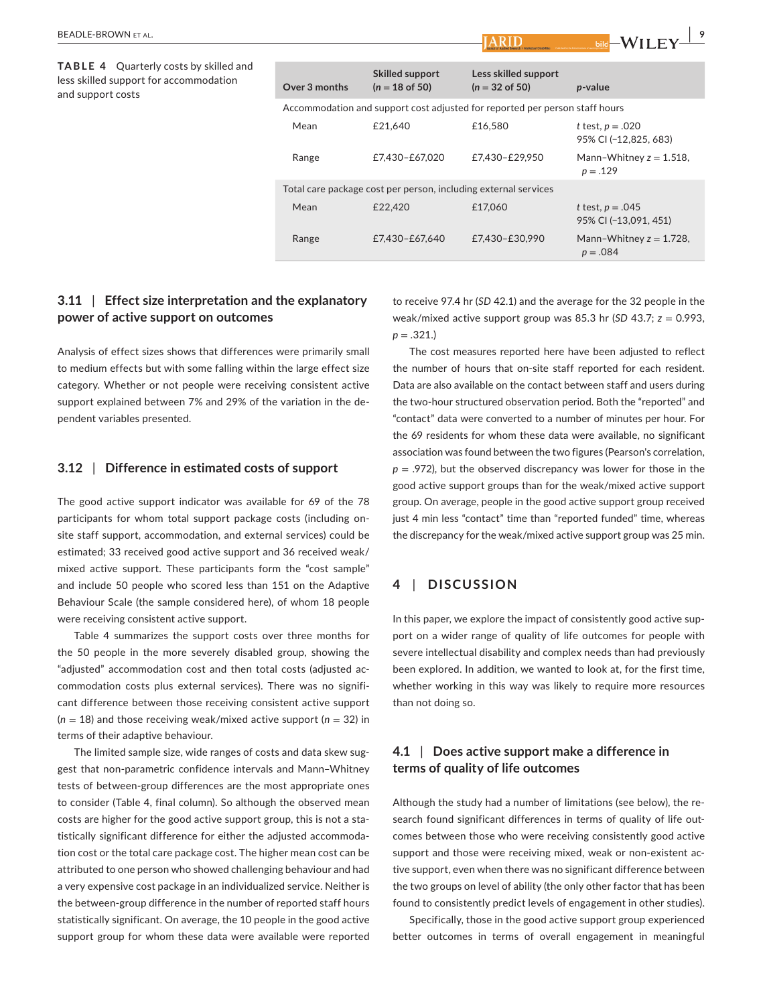**TABLE 4**  Quarterly costs by skilled and less skilled support for accommodation and support costs

|  | Over 3 months | <b>Skilled support</b><br>$(n = 18$ of 50)                      | Less skilled support<br>$(n = 32 \text{ of } 50)$                           | p-value                                            |
|--|---------------|-----------------------------------------------------------------|-----------------------------------------------------------------------------|----------------------------------------------------|
|  |               |                                                                 | Accommodation and support cost adjusted for reported per person staff hours |                                                    |
|  | Mean          | £21.640                                                         | £16,580                                                                     | <i>t</i> test, $p = .020$<br>95% CI (-12,825, 683) |
|  | Range         | £7,430-£67,020                                                  | £7,430-£29,950                                                              | Mann-Whitney $z = 1.518$ ,<br>$p = .129$           |
|  |               | Total care package cost per person, including external services |                                                                             |                                                    |
|  | Mean          | £22,420                                                         | £17,060                                                                     | <i>t</i> test, $p = .045$<br>95% CI (-13.091, 451) |
|  | Range         | £7.430-£67.640                                                  | £7,430-£30,990                                                              | Mann-Whitney $z = 1.728$ ,<br>$p = .084$           |

# **3.11** | **Effect size interpretation and the explanatory power of active support on outcomes**

Analysis of effect sizes shows that differences were primarily small to medium effects but with some falling within the large effect size category. Whether or not people were receiving consistent active support explained between 7% and 29% of the variation in the dependent variables presented.

#### **3.12** | **Difference in estimated costs of support**

The good active support indicator was available for 69 of the 78 participants for whom total support package costs (including onsite staff support, accommodation, and external services) could be estimated; 33 received good active support and 36 received weak/ mixed active support. These participants form the "cost sample" and include 50 people who scored less than 151 on the Adaptive Behaviour Scale (the sample considered here), of whom 18 people were receiving consistent active support.

Table 4 summarizes the support costs over three months for the 50 people in the more severely disabled group, showing the "adjusted" accommodation cost and then total costs (adjusted accommodation costs plus external services). There was no significant difference between those receiving consistent active support (*n* = 18) and those receiving weak/mixed active support (*n* = 32) in terms of their adaptive behaviour.

The limited sample size, wide ranges of costs and data skew suggest that non-parametric confidence intervals and Mann–Whitney tests of between-group differences are the most appropriate ones to consider (Table 4, final column). So although the observed mean costs are higher for the good active support group, this is not a statistically significant difference for either the adjusted accommodation cost or the total care package cost. The higher mean cost can be attributed to one person who showed challenging behaviour and had a very expensive cost package in an individualized service. Neither is the between-group difference in the number of reported staff hours statistically significant. On average, the 10 people in the good active support group for whom these data were available were reported

to receive 97.4 hr (*SD* 42.1) and the average for the 32 people in the weak/mixed active support group was 85.3 hr (*SD* 43.7; *z* = 0.993, *p* = .321.)

The cost measures reported here have been adjusted to reflect the number of hours that on-site staff reported for each resident. Data are also available on the contact between staff and users during the two-hour structured observation period. Both the "reported" and "contact" data were converted to a number of minutes per hour. For the 69 residents for whom these data were available, no significant association was found between the two figures (Pearson's correlation,  $p = .972$ ), but the observed discrepancy was lower for those in the good active support groups than for the weak/mixed active support group. On average, people in the good active support group received just 4 min less "contact" time than "reported funded" time, whereas the discrepancy for the weak/mixed active support group was 25 min.

#### **4** | **DISCUSSION**

In this paper, we explore the impact of consistently good active support on a wider range of quality of life outcomes for people with severe intellectual disability and complex needs than had previously been explored. In addition, we wanted to look at, for the first time, whether working in this way was likely to require more resources than not doing so.

# **4.1** | **Does active support make a difference in terms of quality of life outcomes**

Although the study had a number of limitations (see below), the research found significant differences in terms of quality of life outcomes between those who were receiving consistently good active support and those were receiving mixed, weak or non-existent active support, even when there was no significant difference between the two groups on level of ability (the only other factor that has been found to consistently predict levels of engagement in other studies).

Specifically, those in the good active support group experienced better outcomes in terms of overall engagement in meaningful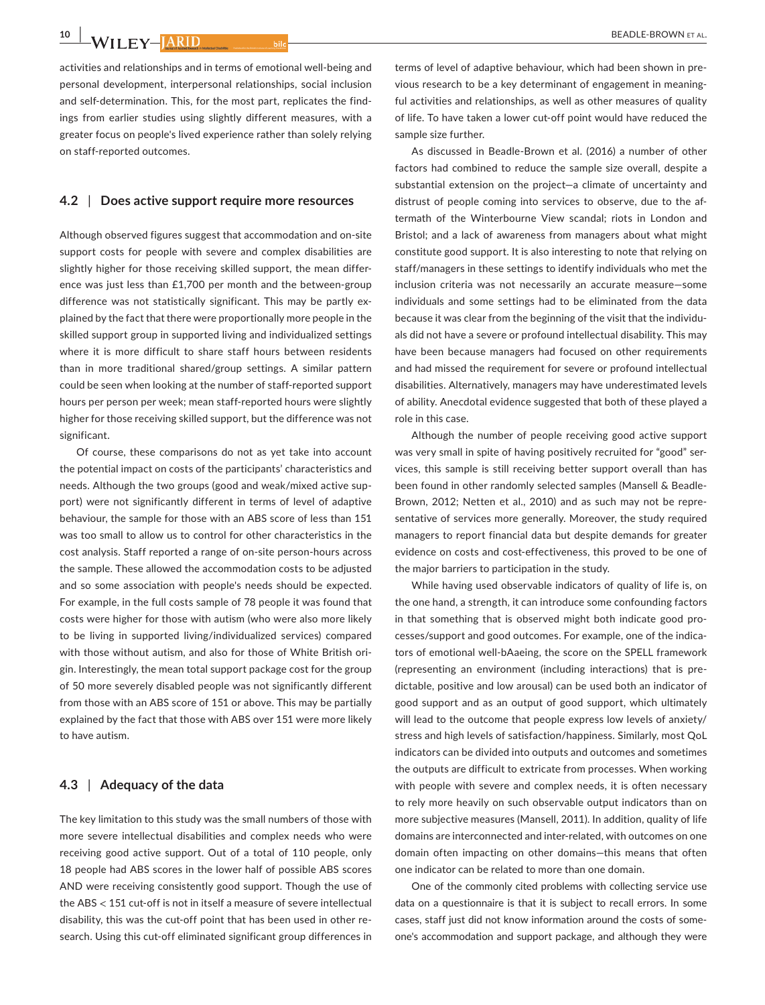$\frac{10}{10}$  W<sub>II</sub> FV-HARID

activities and relationships and in terms of emotional well-being and personal development, interpersonal relationships, social inclusion and self-determination. This, for the most part, replicates the findings from earlier studies using slightly different measures, with a greater focus on people's lived experience rather than solely relying on staff-reported outcomes.

#### **4.2** | **Does active support require more resources**

Although observed figures suggest that accommodation and on-site support costs for people with severe and complex disabilities are slightly higher for those receiving skilled support, the mean difference was just less than £1,700 per month and the between-group difference was not statistically significant. This may be partly explained by the fact that there were proportionally more people in the skilled support group in supported living and individualized settings where it is more difficult to share staff hours between residents than in more traditional shared/group settings. A similar pattern could be seen when looking at the number of staff-reported support hours per person per week; mean staff-reported hours were slightly higher for those receiving skilled support, but the difference was not significant.

Of course, these comparisons do not as yet take into account the potential impact on costs of the participants' characteristics and needs. Although the two groups (good and weak/mixed active support) were not significantly different in terms of level of adaptive behaviour, the sample for those with an ABS score of less than 151 was too small to allow us to control for other characteristics in the cost analysis. Staff reported a range of on-site person-hours across the sample. These allowed the accommodation costs to be adjusted and so some association with people's needs should be expected. For example, in the full costs sample of 78 people it was found that costs were higher for those with autism (who were also more likely to be living in supported living/individualized services) compared with those without autism, and also for those of White British origin. Interestingly, the mean total support package cost for the group of 50 more severely disabled people was not significantly different from those with an ABS score of 151 or above. This may be partially explained by the fact that those with ABS over 151 were more likely to have autism.

# **4.3** | **Adequacy of the data**

The key limitation to this study was the small numbers of those with more severe intellectual disabilities and complex needs who were receiving good active support. Out of a total of 110 people, only 18 people had ABS scores in the lower half of possible ABS scores AND were receiving consistently good support. Though the use of the ABS < 151 cut-off is not in itself a measure of severe intellectual disability, this was the cut-off point that has been used in other research. Using this cut-off eliminated significant group differences in

terms of level of adaptive behaviour, which had been shown in previous research to be a key determinant of engagement in meaningful activities and relationships, as well as other measures of quality of life. To have taken a lower cut-off point would have reduced the sample size further.

As discussed in Beadle-Brown et al. (2016) a number of other factors had combined to reduce the sample size overall, despite a substantial extension on the project—a climate of uncertainty and distrust of people coming into services to observe, due to the aftermath of the Winterbourne View scandal; riots in London and Bristol; and a lack of awareness from managers about what might constitute good support. It is also interesting to note that relying on staff/managers in these settings to identify individuals who met the inclusion criteria was not necessarily an accurate measure—some individuals and some settings had to be eliminated from the data because it was clear from the beginning of the visit that the individuals did not have a severe or profound intellectual disability. This may have been because managers had focused on other requirements and had missed the requirement for severe or profound intellectual disabilities. Alternatively, managers may have underestimated levels of ability. Anecdotal evidence suggested that both of these played a role in this case.

Although the number of people receiving good active support was very small in spite of having positively recruited for "good" services, this sample is still receiving better support overall than has been found in other randomly selected samples (Mansell & Beadle-Brown, 2012; Netten et al., 2010) and as such may not be representative of services more generally. Moreover, the study required managers to report financial data but despite demands for greater evidence on costs and cost-effectiveness, this proved to be one of the major barriers to participation in the study.

While having used observable indicators of quality of life is, on the one hand, a strength, it can introduce some confounding factors in that something that is observed might both indicate good processes/support and good outcomes. For example, one of the indicators of emotional well-bAaeing, the score on the SPELL framework (representing an environment (including interactions) that is predictable, positive and low arousal) can be used both an indicator of good support and as an output of good support, which ultimately will lead to the outcome that people express low levels of anxiety/ stress and high levels of satisfaction/happiness. Similarly, most QoL indicators can be divided into outputs and outcomes and sometimes the outputs are difficult to extricate from processes. When working with people with severe and complex needs, it is often necessary to rely more heavily on such observable output indicators than on more subjective measures (Mansell, 2011). In addition, quality of life domains are interconnected and inter-related, with outcomes on one domain often impacting on other domains—this means that often one indicator can be related to more than one domain.

One of the commonly cited problems with collecting service use data on a questionnaire is that it is subject to recall errors. In some cases, staff just did not know information around the costs of someone's accommodation and support package, and although they were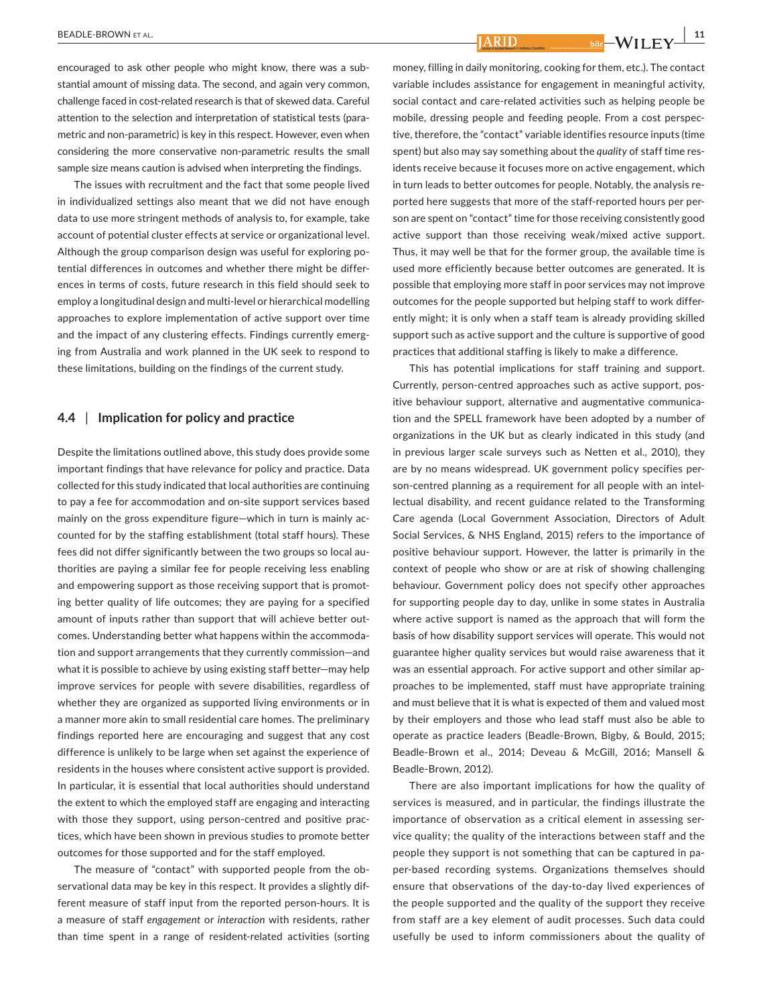encouraged to ask other people who might know, there was a substantial amount of missing data. The second, and again very common, challenge faced in cost-related research is that of skewed data. Careful attention to the selection and interpretation of statistical tests (parametric and non-parametric) is key in this respect. However, even when considering the more conservative non-parametric results the small sample size means caution is advised when interpreting the findings.

The issues with recruitment and the fact that some people lived in individualized settings also meant that we did not have enough data to use more stringent methods of analysis to, for example, take account of potential cluster effects at service or organizational level. Although the group comparison design was useful for exploring potential differences in outcomes and whether there might be differences in terms of costs, future research in this field should seek to employ a longitudinal design and multi-level or hierarchical modelling approaches to explore implementation of active support over time and the impact of any clustering effects. Findings currently emerging from Australia and work planned in the UK seek to respond to these limitations, building on the findings of the current study.

#### **4.4** | **Implication for policy and practice**

Despite the limitations outlined above, this study does provide some important findings that have relevance for policy and practice. Data collected for this study indicated that local authorities are continuing to pay a fee for accommodation and on-site support services based mainly on the gross expenditure figure—which in turn is mainly accounted for by the staffing establishment (total staff hours). These fees did not differ significantly between the two groups so local authorities are paying a similar fee for people receiving less enabling and empowering support as those receiving support that is promoting better quality of life outcomes; they are paying for a specified amount of inputs rather than support that will achieve better outcomes. Understanding better what happens within the accommodation and support arrangements that they currently commission—and what it is possible to achieve by using existing staff better—may help improve services for people with severe disabilities, regardless of whether they are organized as supported living environments or in a manner more akin to small residential care homes. The preliminary findings reported here are encouraging and suggest that any cost difference is unlikely to be large when set against the experience of residents in the houses where consistent active support is provided. In particular, it is essential that local authorities should understand the extent to which the employed staff are engaging and interacting with those they support, using person-centred and positive practices, which have been shown in previous studies to promote better outcomes for those supported and for the staff employed.

The measure of "contact" with supported people from the observational data may be key in this respect. It provides a slightly different measure of staff input from the reported person-hours. It is a measure of staff *engagement* or *interaction* with residents, rather than time spent in a range of resident-related activities (sorting money, filling in daily monitoring, cooking for them, etc.). The contact variable includes assistance for engagement in meaningful activity, social contact and care-related activities such as helping people be mobile, dressing people and feeding people. From a cost perspective, therefore, the "contact" variable identifies resource inputs (time spent) but also may say something about the *quality* of staff time residents receive because it focuses more on active engagement, which in turn leads to better outcomes for people. Notably, the analysis reported here suggests that more of the staff-reported hours per person are spent on "contact" time for those receiving consistently good active support than those receiving weak/mixed active support. Thus, it may well be that for the former group, the available time is used more efficiently because better outcomes are generated. It is possible that employing more staff in poor services may not improve outcomes for the people supported but helping staff to work differently might; it is only when a staff team is already providing skilled support such as active support and the culture is supportive of good practices that additional staffing is likely to make a difference.

**ARID** 

This has potential implications for staff training and support. Currently, person-centred approaches such as active support, positive behaviour support, alternative and augmentative communication and the SPELL framework have been adopted by a number of organizations in the UK but as clearly indicated in this study (and in previous larger scale surveys such as Netten et al., 2010), they are by no means widespread. UK government policy specifies person-centred planning as a requirement for all people with an intellectual disability, and recent guidance related to the Transforming Care agenda (Local Government Association, Directors of Adult Social Services, & NHS England, 2015) refers to the importance of positive behaviour support. However, the latter is primarily in the context of people who show or are at risk of showing challenging behaviour. Government policy does not specify other approaches for supporting people day to day, unlike in some states in Australia where active support is named as the approach that will form the basis of how disability support services will operate. This would not guarantee higher quality services but would raise awareness that it was an essential approach. For active support and other similar approaches to be implemented, staff must have appropriate training and must believe that it is what is expected of them and valued most by their employers and those who lead staff must also be able to operate as practice leaders (Beadle-Brown, Bigby, & Bould, 2015; Beadle-Brown et al., 2014; Deveau & McGill, 2016; Mansell & Beadle-Brown, 2012).

There are also important implications for how the quality of services is measured, and in particular, the findings illustrate the importance of observation as a critical element in assessing service quality; the quality of the interactions between staff and the people they support is not something that can be captured in paper-based recording systems. Organizations themselves should ensure that observations of the day-to-day lived experiences of the people supported and the quality of the support they receive from staff are a key element of audit processes. Such data could usefully be used to inform commissioners about the quality of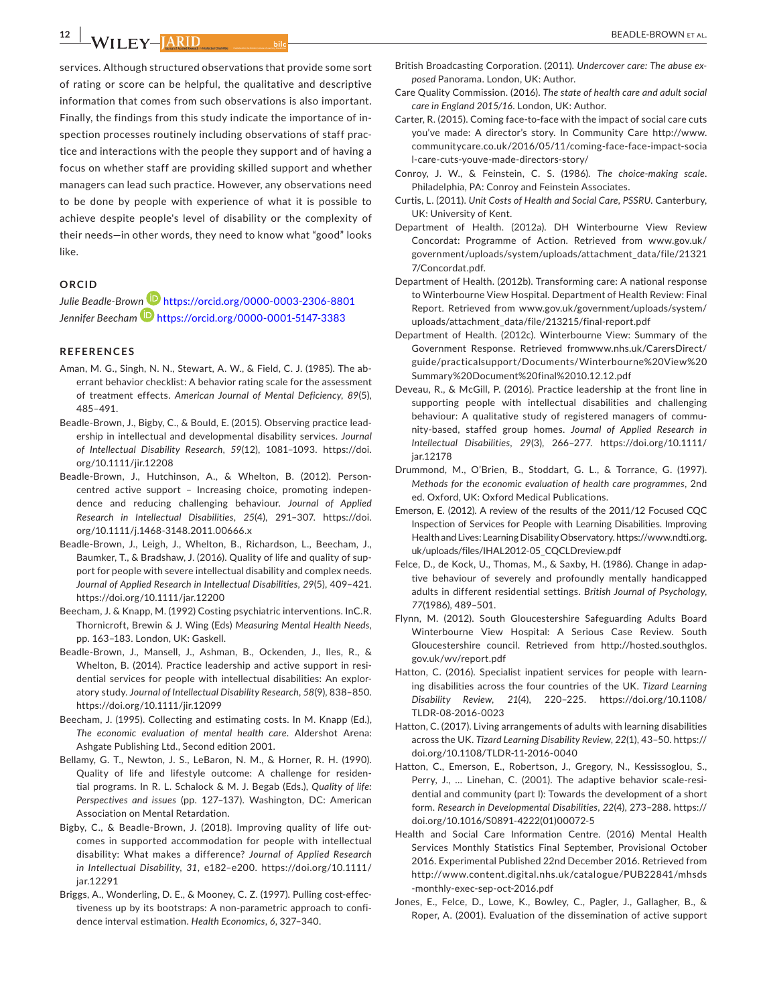**II FY-IARID** 

services. Although structured observations that provide some sort of rating or score can be helpful, the qualitative and descriptive information that comes from such observations is also important. Finally, the findings from this study indicate the importance of inspection processes routinely including observations of staff practice and interactions with the people they support and of having a focus on whether staff are providing skilled support and whether managers can lead such practice. However, any observations need to be done by people with experience of what it is possible to achieve despite people's level of disability or the complexity of their needs—in other words, they need to know what "good" looks like.

#### **ORCID**

*Julie Beadle-Bro[wn](https://orcid.org/0000-0001-5147-3383)* <https://orcid.org/0000-0003-2306-8801> *Jennifer Beecham* <https://orcid.org/0000-0001-5147-3383>

#### **REFERENCES**

- Aman, M. G., Singh, N. N., Stewart, A. W., & Field, C. J. (1985). The aberrant behavior checklist: A behavior rating scale for the assessment of treatment effects. *American Journal of Mental Deficiency*, *89*(5), 485–491.
- Beadle-Brown, J., Bigby, C., & Bould, E. (2015). Observing practice leadership in intellectual and developmental disability services. *Journal of Intellectual Disability Research*, *59*(12), 1081–1093. [https://doi.](https://doi.org/10.1111/jir.12208) [org/10.1111/jir.12208](https://doi.org/10.1111/jir.12208)
- Beadle-Brown, J., Hutchinson, A., & Whelton, B. (2012). Personcentred active support – Increasing choice, promoting independence and reducing challenging behaviour. *Journal of Applied Research in Intellectual Disabilities*, *25*(4), 291–307. [https://doi.](https://doi.org/10.1111/j.1468-3148.2011.00666.x) [org/10.1111/j.1468-3148.2011.00666.x](https://doi.org/10.1111/j.1468-3148.2011.00666.x)
- Beadle-Brown, J., Leigh, J., Whelton, B., Richardson, L., Beecham, J., Baumker, T., & Bradshaw, J. (2016). Quality of life and quality of support for people with severe intellectual disability and complex needs. *Journal of Applied Research in Intellectual Disabilities*, *29*(5), 409–421. <https://doi.org/10.1111/jar.12200>
- Beecham, J. & Knapp, M. (1992) Costing psychiatric interventions. InC.R. Thornicroft, Brewin & J. Wing (Eds) *Measuring Mental Health Needs*, pp. 163–183. London, UK: Gaskell.
- Beadle-Brown, J., Mansell, J., Ashman, B., Ockenden, J., Iles, R., & Whelton, B. (2014). Practice leadership and active support in residential services for people with intellectual disabilities: An exploratory study. *Journal of Intellectual Disability Research*, *58*(9), 838–850. <https://doi.org/10.1111/jir.12099>
- Beecham, J. (1995). Collecting and estimating costs. In M. Knapp (Ed.), *The economic evaluation of mental health care*. Aldershot Arena: Ashgate Publishing Ltd., Second edition 2001.
- Bellamy, G. T., Newton, J. S., LeBaron, N. M., & Horner, R. H. (1990). Quality of life and lifestyle outcome: A challenge for residential programs. In R. L. Schalock & M. J. Begab (Eds.), *Quality of life: Perspectives and issues* (pp. 127–137). Washington, DC: American Association on Mental Retardation.
- Bigby, C., & Beadle-Brown, J. (2018). Improving quality of life outcomes in supported accommodation for people with intellectual disability: What makes a difference? *Journal of Applied Research in Intellectual Disability*, *31*, e182–e200. [https://doi.org/10.1111/](https://doi.org/10.1111/jar.12291) [jar.12291](https://doi.org/10.1111/jar.12291)
- Briggs, A., Wonderling, D. E., & Mooney, C. Z. (1997). Pulling cost-effectiveness up by its bootstraps: A non-parametric approach to confidence interval estimation. *Health Economics*, *6*, 327–340.
- British Broadcasting Corporation. (2011). *Undercover care: The abuse exposed* Panorama. London, UK: Author.
- Care Quality Commission. (2016). *The state of health care and adult social care in England 2015/16*. London, UK: Author.
- Carter, R. (2015). Coming face-to-face with the impact of social care cuts you've made: A director's story. In Community Care [http://www.](http://www.communitycare.co.uk/2016/05/11/coming-face-face-impact-social-care-cuts-youve-made-directors-story/) [communitycare.co.uk/2016/05/11/coming-face-face-impact-socia](http://www.communitycare.co.uk/2016/05/11/coming-face-face-impact-social-care-cuts-youve-made-directors-story/) [l-care-cuts-youve-made-directors-story/](http://www.communitycare.co.uk/2016/05/11/coming-face-face-impact-social-care-cuts-youve-made-directors-story/)
- Conroy, J. W., & Feinstein, C. S. (1986). *The choice-making scale*. Philadelphia, PA: Conroy and Feinstein Associates.
- Curtis, L. (2011). *Unit Costs of Health and Social Care, PSSRU*. Canterbury, UK: University of Kent.
- Department of Health. (2012a). DH Winterbourne View Review Concordat: Programme of Action. Retrieved from [www.gov.uk/](http://www.gov.uk/government/uploads/system/uploads/attachment_data/file/213217/Concordat.pdf) [government/uploads/system/uploads/attachment\\_data/file/21321](http://www.gov.uk/government/uploads/system/uploads/attachment_data/file/213217/Concordat.pdf) [7/Concordat.pdf](http://www.gov.uk/government/uploads/system/uploads/attachment_data/file/213217/Concordat.pdf).
- Department of Health. (2012b). Transforming care: A national response to Winterbourne View Hospital. Department of Health Review: Final Report. Retrieved from www.gov.uk/government/uploads/system/ uploads/attachment\_data/file/213215/final-report.pdf
- Department of Health. (2012c). Winterbourne View: Summary of the Government Response. Retrieved from[www.nhs.uk/CarersDirect/](http://www.nhs.uk/CarersDirect/guide/practicalsupport/Documents/Winterbourne View Summary Document final 10.12.12.pdf) [guide/practicalsupport/Documents/Winterbourne%20View%20](http://www.nhs.uk/CarersDirect/guide/practicalsupport/Documents/Winterbourne View Summary Document final 10.12.12.pdf) [Summary%20Document%20final%2010.12.12.pdf](http://www.nhs.uk/CarersDirect/guide/practicalsupport/Documents/Winterbourne View Summary Document final 10.12.12.pdf)
- Deveau, R., & McGill, P. (2016). Practice leadership at the front line in supporting people with intellectual disabilities and challenging behaviour: A qualitative study of registered managers of community-based, staffed group homes. *Journal of Applied Research in Intellectual Disabilities*, *29*(3), 266–277. [https://doi.org/10.1111/](https://doi.org/10.1111/jar.12178) [jar.12178](https://doi.org/10.1111/jar.12178)
- Drummond, M., O'Brien, B., Stoddart, G. L., & Torrance, G. (1997). *Methods for the economic evaluation of health care programmes*, 2nd ed. Oxford, UK: Oxford Medical Publications.
- Emerson, E. (2012). A review of the results of the 2011/12 Focused CQC Inspection of Services for People with Learning Disabilities. Improving Health and Lives: Learning Disability Observatory. [https://www.ndti.org.](https://www.ndti.org.uk/uploads/files/IHAL2012-05_CQCLDreview.pdf) [uk/uploads/files/IHAL2012-05\\_CQCLDreview.pdf](https://www.ndti.org.uk/uploads/files/IHAL2012-05_CQCLDreview.pdf)
- Felce, D., de Kock, U., Thomas, M., & Saxby, H. (1986). Change in adaptive behaviour of severely and profoundly mentally handicapped adults in different residential settings. *British Journal of Psychology*, *77*(1986), 489–501.
- Flynn, M. (2012). South Gloucestershire Safeguarding Adults Board Winterbourne View Hospital: A Serious Case Review. South Gloucestershire council. Retrieved from [http://hosted.southglos.](http://hosted.southglos.gov.uk/wv/report.pdf) [gov.uk/wv/report.pdf](http://hosted.southglos.gov.uk/wv/report.pdf)
- Hatton, C. (2016). Specialist inpatient services for people with learning disabilities across the four countries of the UK. *Tizard Learning Disability Review*, *21*(4), 220–225. [https://doi.org/10.1108/](https://doi.org/10.1108/TLDR-08-2016-0023) [TLDR-08-2016-0023](https://doi.org/10.1108/TLDR-08-2016-0023)
- Hatton, C. (2017). Living arrangements of adults with learning disabilities across the UK. *Tizard Learning Disability Review*, *22*(1), 43–50. [https://](https://doi.org/10.1108/TLDR-11-2016-0040) [doi.org/10.1108/TLDR-11-2016-0040](https://doi.org/10.1108/TLDR-11-2016-0040)
- Hatton, C., Emerson, E., Robertson, J., Gregory, N., Kessissoglou, S., Perry, J., … Linehan, C. (2001). The adaptive behavior scale-residential and community (part I): Towards the development of a short form. *Research in Developmental Disabilities*, *22*(4), 273–288. [https://](https://doi.org/10.1016/S0891-4222(01)00072-5) [doi.org/10.1016/S0891-4222\(01\)00072-5](https://doi.org/10.1016/S0891-4222(01)00072-5)
- Health and Social Care Information Centre. (2016) Mental Health Services Monthly Statistics Final September, Provisional October 2016. Experimental Published 22nd December 2016. Retrieved from [http://www.content.digital.nhs.uk/catalogue/PUB22841/mhsds](http://www.content.digital.nhs.uk/catalogue/PUB22841/mhsds-monthly-exec-sep-oct-2016.pdf) [-monthly-exec-sep-oct-2016.pdf](http://www.content.digital.nhs.uk/catalogue/PUB22841/mhsds-monthly-exec-sep-oct-2016.pdf)
- Jones, E., Felce, D., Lowe, K., Bowley, C., Pagler, J., Gallagher, B., & Roper, A. (2001). Evaluation of the dissemination of active support